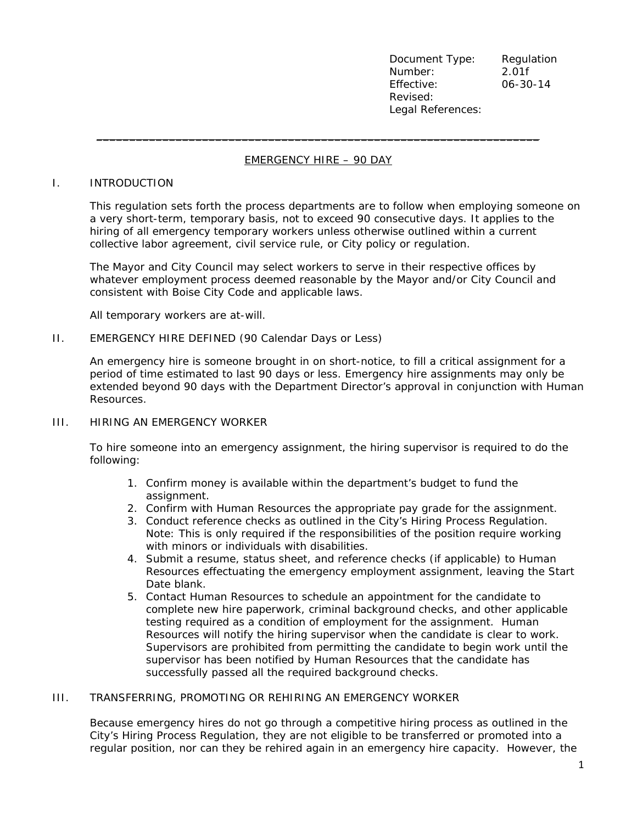Document Type: Regulation Number: 2.01f Effective: 06-30-14 Revised: Legal References:

# EMERGENCY HIRE – 90 DAY

 $\_$  . The contribution of the contribution of the contribution of the contribution of  $\mathcal{L}_1$ 

#### I. INTRODUCTION

This regulation sets forth the process departments are to follow when employing someone on a very short-term, temporary basis, not to exceed 90 consecutive days. It applies to the hiring of all emergency temporary workers unless otherwise outlined within a current collective labor agreement, civil service rule, or City policy or regulation.

The Mayor and City Council may select workers to serve in their respective offices by whatever employment process deemed reasonable by the Mayor and/or City Council and consistent with Boise City Code and applicable laws.

All temporary workers are at-will.

#### II. EMERGENCY HIRE DEFINED (90 Calendar Days or Less)

An emergency hire is someone brought in on short-notice, to fill a critical assignment for a period of time estimated to last 90 days or less. Emergency hire assignments may only be extended beyond 90 days with the Department Director's approval in conjunction with Human Resources.

### III. HIRING AN EMERGENCY WORKER

To hire someone into an emergency assignment, the hiring supervisor is required to do the following:

- 1. Confirm money is available within the department's budget to fund the assignment.
- 2. Confirm with Human Resources the appropriate pay grade for the assignment.
- 3. Conduct reference checks as outlined in the City's Hiring Process Regulation. Note: This is only required if the responsibilities of the position require working with minors or individuals with disabilities.
- 4. Submit a resume, status sheet, and reference checks (if applicable) to Human Resources effectuating the emergency employment assignment, leaving the Start Date blank.
- 5. Contact Human Resources to schedule an appointment for the candidate to complete new hire paperwork, criminal background checks, and other applicable testing required as a condition of employment for the assignment. Human Resources will notify the hiring supervisor when the candidate is clear to work. Supervisors are prohibited from permitting the candidate to begin work until the supervisor has been notified by Human Resources that the candidate has successfully passed all the required background checks.

# III. TRANSFERRING, PROMOTING OR REHIRING AN EMERGENCY WORKER

Because emergency hires do not go through a competitive hiring process as outlined in the City's Hiring Process Regulation, they are not eligible to be transferred or promoted into a regular position, nor can they be rehired again in an emergency hire capacity. However, the